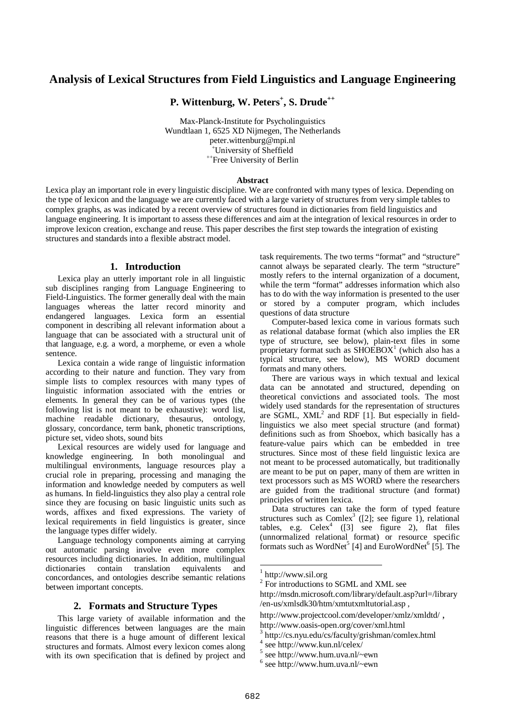# **Analysis of Lexical Structures from Field Linguistics and Language Engineering**

**P. Wittenburg, W. Peters + , S. Drude ++**

Max-Planck-Institute for Psycholinguistics Wundtlaan 1, 6525 XD Nijmegen, The Netherlands peter.wittenburg@mpi.nl <sup>+</sup>University of Sheffield ++ Free University of Berlin

#### **Abstract**

Lexica play an important role in every linguistic discipline. We are confronted with many types of lexica. Depending on the type of lexicon and the language we are currently faced with a large variety of structures from very simple tables to complex graphs, as was indicated by a recent overview of structures found in dictionaries from field linguistics and language engineering. It is important to assess these differences and aim at the integration of lexical resources in order to improve lexicon creation, exchange and reuse. This paper describes the first step towards the integration of existing structures and standards into a flexible abstract model.

### **1. Introduction**

Lexica play an utterly important role in all linguistic sub disciplines ranging from Language Engineering to Field-Linguistics. The former generally deal with the main languages whereas the latter record minority and endangered languages. Lexica form an essential component in describing all relevant information about a language that can be associated with a structural unit of that language, e.g. a word, a morpheme, or even a whole sentence.

Lexica contain a wide range of linguistic information according to their nature and function. They vary from simple lists to complex resources with many types of linguistic information associated with the entries or elements. In general they can be of various types (the following list is not meant to be exhaustive): word list, machine readable dictionary, thesaurus, ontology, glossary, concordance, term bank, phonetic transcriptions, picture set, video shots, sound bits

Lexical resources are widely used for language and knowledge engineering. In both monolingual and multilingual environments, language resources play a crucial role in preparing, processing and managing the information and knowledge needed by computers as well as humans. In field-linguistics they also play a central role since they are focusing on basic linguistic units such as words, affixes and fixed expressions. The variety of lexical requirements in field linguistics is greater, since the language types differ widely.

Language technology components aiming at carrying out automatic parsing involve even more complex resources including dictionaries. In addition, multilingual dictionaries contain translation equivalents and concordances, and ontologies describe semantic relations between important concepts.

#### **2. Formats and Structure Types**

This large variety of available information and the linguistic differences between languages are the main reasons that there is a huge amount of different lexical structures and formats. Almost every lexicon comes along with its own specification that is defined by project and task requirements. The two terms "format" and "structure" cannot always be separated clearly. The term "structure" mostly refers to the internal organization of a document, while the term "format" addresses information which also has to do with the way information is presented to the user or stored by a computer program, which includes questions of data structure

Computer-based lexica come in various formats such as relational database format (which also implies the ER type of structure, see below), plain-text files in some proprietary format such as  $SHOEBOX<sup>1</sup>$  (which also has a typical structure, see below), MS WORD document formats and many others.

There are various ways in which textual and lexical data can be annotated and structured, depending on theoretical convictions and associated tools. The most widely used standards for the representation of structures are SGML,  $XML^2$  and RDF [1]. But especially in fieldlinguistics we also meet special structure (and format) definitions such as from Shoebox, which basically has a feature-value pairs which can be embedded in tree structures. Since most of these field linguistic lexica are not meant to be processed automatically, but traditionally are meant to be put on paper, many of them are written in text processors such as MS WORD where the researchers are guided from the traditional structure (and format) principles of written lexica.

Data structures can take the form of typed feature structures such as Comlex<sup>3</sup> ([2]; see figure 1), relational tables, e.g.  $Celex^4$  ([3] see figure 2), flat files (unnormalized relational format) or resource specific formats such as WordNet<sup>5</sup> [4] and EuroWordNet<sup>6</sup> [5]. The

- 4 see http://www.kun.nl/celex/
- $5$  see http://www.hum.uva.nl/~ewn
- $6$  see http://www.hum.uva.nl/~ewn

 $\overline{a}$ 

<sup>1</sup> http://www.sil.org

<sup>&</sup>lt;sup>2</sup> For introductions to SGML and XML see

http://msdn.microsoft.com/library/default.asp?url=/library /en-us/xmlsdk30/htm/xmtutxmltutorial.asp ,

http://www.projectcool.com/developer/xmlz/xmldtd/ , http://www.oasis-open.org/cover/xml.html

<sup>3</sup> http://cs.nyu.edu/cs/faculty/grishman/comlex.html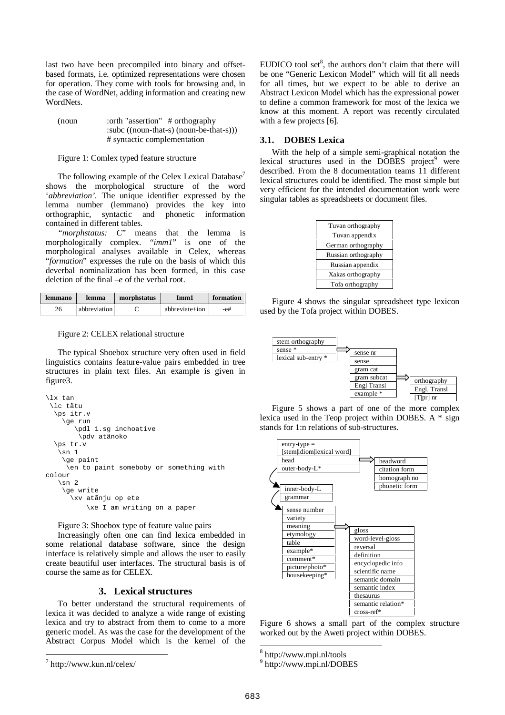last two have been precompiled into binary and offsetbased formats, i.e. optimized representations were chosen for operation. They come with tools for browsing and, in the case of WordNet, adding information and creating new WordNets.

(noun :orth "assertion" # orthography :subc ((noun-that-s) (noun-be-that-s))) # syntactic complementation

Figure 1: Comlex typed feature structure

The following example of the Celex Lexical Database<sup>7</sup> shows the morphological structure of the word '*abbreviation'*. The unique identifier expressed by the lemma number (lemmano) provides the key into orthographic, syntactic and phonetic information contained in different tables.

*"morphstatus: C*" means that the lemma is morphologically complex. "*imm1*" is one of the morphological analyses available in Celex, whereas "formation" expresses the rule on the basis of which this deverbal nominalization has been formed, in this case deletion of the final *–e* of the verbal root.

| lemmano | lemma        | morphstatus | Imm1           | formation |
|---------|--------------|-------------|----------------|-----------|
| ገሬ      | abbreviation |             | abbreviate+ion | -е#       |

Figure 2: CELEX relational structure

The typical Shoebox structure very often used in field linguistics contains feature-value pairs embedded in tree structures in plain text files. An example is given in figure3.

```
\lx tan
 \lc tãtu
  \ps itr.v
    \ge run
       \pdl 1.sg inchoative
        \pdv atãnoko
  \ps tr.v
    \sin 1\ge paint
     \en to paint someboby or something with
colour
   \sin 2\ge write
      \xv atãnju op ete
          \xe I am writing on a paper
```
Figure 3: Shoebox type of feature value pairs

Increasingly often one can find lexica embedded in some relational database software, since the design interface is relatively simple and allows the user to easily create beautiful user interfaces. The structural basis is of course the same as for CELEX.

## **3. Lexical structures**

To better understand the structural requirements of lexica it was decided to analyze a wide range of existing lexica and try to abstract from them to come to a more generic model. As was the case for the development of the Abstract Corpus Model which is the kernel of the

 $\overline{a}$ 

EUDICO tool set $<sup>8</sup>$ , the authors don't claim that there will</sup> be one "Generic Lexicon Model" which will fit all needs for all times, but we expect to be able to derive an Abstract Lexicon Model which has the expressional power to define a common framework for most of the lexica we know at this moment. A report was recently circulated with a few projects [6].

#### **3.1. DOBES Lexica**

With the help of a simple semi-graphical notation the lexical structures used in the DOBES project<sup>9</sup> were described. From the 8 documentation teams 11 different lexical structures could be identified. The most simple but very efficient for the intended documentation work were singular tables as spreadsheets or document files.

| Tuvan orthography   |
|---------------------|
| Tuvan appendix      |
| German orthography  |
| Russian orthography |
| Russian appendix    |
| Xakas orthography   |
| Tofa orthography    |

Figure 4 shows the singular spreadsheet type lexicon used by the Tofa project within DOBES.



Figure 5 shows a part of one of the more complex lexica used in the Teop project within DOBES. A \* sign stands for 1:n relations of sub-structures.



Figure 6 shows a small part of the complex structure worked out by the Aweti project within DOBES.

 $^7$  http://www.kun.nl/celex/

 8 http://www.mpi.nl/tools

<sup>9</sup> http://www.mpi.nl/DOBES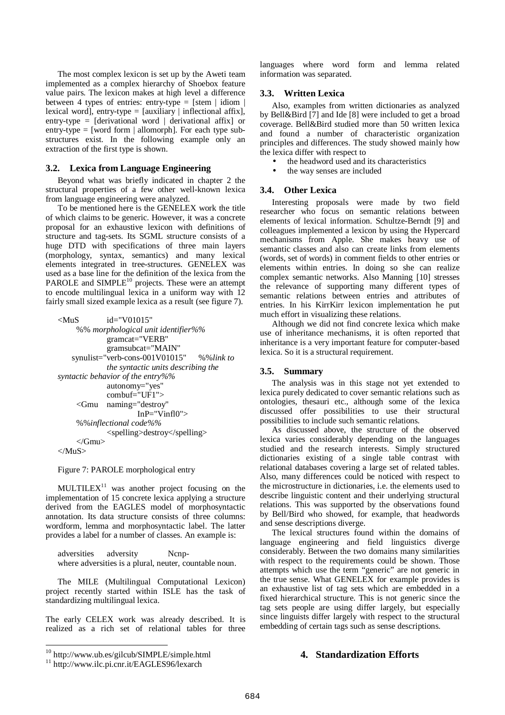The most complex lexicon is set up by the Aweti team implemented as a complex hierarchy of Shoebox feature value pairs. The lexicon makes at high level a difference between 4 types of entries: entry-type =  $[stem | idiom |]$ lexical word], entry-type =  $[auxiliary | inflectional affix]$ , entry-type = [derivational word | derivational affix] or entry-type  $=$  [word form | allomorph]. For each type substructures exist. In the following example only an extraction of the first type is shown.

#### **3.2. Lexica from Language Engineering**

Beyond what was briefly indicated in chapter 2 the structural properties of a few other well-known lexica from language engineering were analyzed.

To be mentioned here is the GENELEX work the title of which claims to be generic. However, it was a concrete proposal for an exhaustive lexicon with definitions of structure and tag-sets. Its SGML structure consists of a huge DTD with specifications of three main layers (morphology, syntax, semantics) and many lexical elements integrated in tree-structures. GENELEX was used as a base line for the definition of the lexica from the PAROLE and  $SIMPLE^{10}$  projects. These were an attempt to encode multilingual lexica in a uniform way with 12 fairly small sized example lexica as a result (see figure 7).

| $<$ MuS                                      | $id="V01015"$                               |  |  |  |
|----------------------------------------------|---------------------------------------------|--|--|--|
| %% morphological unit identifier%%           |                                             |  |  |  |
|                                              | gramcat="VERB"                              |  |  |  |
|                                              | gramsubcat="MAIN"                           |  |  |  |
|                                              | synulist="verb-cons-001V01015"<br>%%link to |  |  |  |
|                                              | the syntactic units describing the          |  |  |  |
| syntactic behavior of the entry%%            |                                             |  |  |  |
|                                              | autonomy="yes"                              |  |  |  |
|                                              | $combul\equiv$ "UF1" $>$                    |  |  |  |
| <gmu< td=""><td>naming="destroy"</td></gmu<> | naming="destroy"                            |  |  |  |
|                                              | $In P = "Vinfl0"$                           |  |  |  |
| %%inflectional code%%                        |                                             |  |  |  |
|                                              | <spelling>destroy</spelling>                |  |  |  |
|                                              |                                             |  |  |  |
|                                              |                                             |  |  |  |

Figure 7: PAROLE morphological entry

MULTILE $X<sup>11</sup>$  was another project focusing on the implementation of 15 concrete lexica applying a structure derived from the EAGLES model of morphosyntactic annotation. Its data structure consists of three columns: wordform, lemma and morphosyntactic label. The latter provides a label for a number of classes. An example is:

adversities adversity Ncnpwhere adversities is a plural, neuter, countable noun.

The MILE (Multilingual Computational Lexicon) project recently started within ISLE has the task of standardizing multilingual lexica.

The early CELEX work was already described. It is realized as a rich set of relational tables for three languages where word form and lemma related information was separated.

#### **3.3. Written Lexica**

Also, examples from written dictionaries as analyzed by Bell&Bird [7] and Ide [8] were included to get a broad coverage. Bell&Bird studied more than 50 written lexica and found a number of characteristic organization principles and differences. The study showed mainly how the lexica differ with respect to

- the headword used and its characteristics
- the way senses are included

#### **3.4. Other Lexica**

Interesting proposals were made by two field researcher who focus on semantic relations between elements of lexical information. Schultze-Berndt [9] and colleagues implemented a lexicon by using the Hypercard mechanisms from Apple. She makes heavy use of semantic classes and also can create links from elements (words, set of words) in comment fields to other entries or elements within entries. In doing so she can realize complex semantic networks. Also Manning [10] stresses the relevance of supporting many different types of semantic relations between entries and attributes of entries. In his KirrKirr lexicon implementation he put much effort in visualizing these relations.

Although we did not find concrete lexica which make use of inheritance mechanisms, it is often reported that inheritance is a very important feature for computer-based lexica. So it is a structural requirement.

#### **3.5. Summary**

The analysis was in this stage not yet extended to lexica purely dedicated to cover semantic relations such as ontologies, thesauri etc., although some of the lexica discussed offer possibilities to use their structural possibilities to include such semantic relations.

As discussed above, the structure of the observed lexica varies considerably depending on the languages studied and the research interests. Simply structured dictionaries existing of a single table contrast with relational databases covering a large set of related tables. Also, many differences could be noticed with respect to the microstructure in dictionaries, i.e. the elements used to describe linguistic content and their underlying structural relations. This was supported by the observations found by Bell/Bird who showed, for example, that headwords and sense descriptions diverge.

The lexical structures found within the domains of language engineering and field linguistics diverge considerably. Between the two domains many similarities with respect to the requirements could be shown. Those attempts which use the term "generic" are not generic in the true sense. What GENELEX for example provides is an exhaustive list of tag sets which are embedded in a fixed hierarchical structure. This is not generic since the tag sets people are using differ largely, but especially since linguists differ largely with respect to the structural embedding of certain tags such as sense descriptions.

## **4. Standardization Efforts**

 10 http://www.ub.es/gilcub/SIMPLE/simple.html

<sup>&</sup>lt;sup>11</sup> http://www.ilc.pi.cnr.it/EAGLES96/lexarch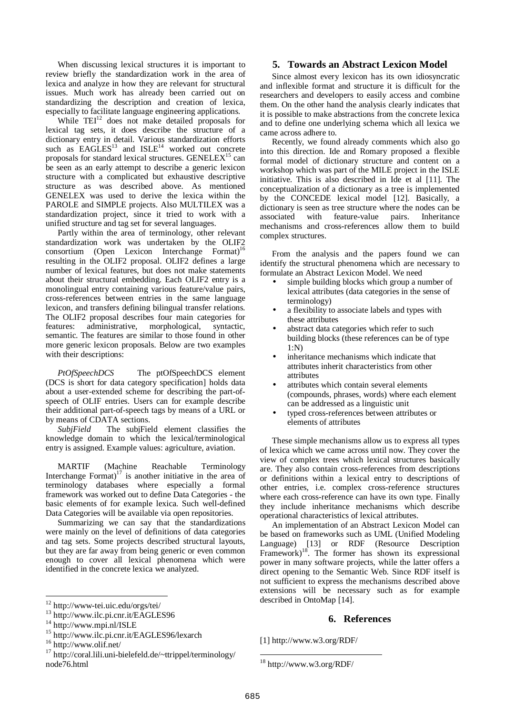When discussing lexical structures it is important to review briefly the standardization work in the area of lexica and analyze in how they are relevant for structural issues. Much work has already been carried out on standardizing the description and creation of lexica, especially to facilitate language engineering applications.

While TEI<sup>12</sup> does not make detailed proposals for lexical tag sets, it does describe the structure of a dictionary entry in detail. Various standardization efforts such as  $EAGLES^{13}$  and  $ISLE^{14}$  worked out concrete proposals for standard lexical structures. GENELEX<sup>15</sup> can be seen as an early attempt to describe a generic lexicon structure with a complicated but exhaustive descriptive structure as was described above. As mentioned GENELEX was used to derive the lexica within the PAROLE and SIMPLE projects. Also MULTILEX was a standardization project, since it tried to work with a unified structure and tag set for several languages.

Partly within the area of terminology, other relevant standardization work was undertaken by the OLIF2 consortium (Open Lexicon Interchange Format) 16 resulting in the OLIF2 proposal. OLIF2 defines a large number of lexical features, but does not make statements about their structural embedding. Each OLIF2 entry is a monolingual entry containing various feature/value pairs, cross-references between entries in the same language lexicon, and transfers defining bilingual transfer relations. The OLIF2 proposal describes four main categories for features: administrative, morphological, syntactic, semantic. The features are similar to those found in other more generic lexicon proposals. Below are two examples with their descriptions:

*PtOfSpeechDCS* The ptOfSpeechDCS element (DCS is short for data category specification] holds data about a user-extended scheme for describing the part-ofspeech of OLIF entries. Users can for example describe their additional part-of-speech tags by means of a URL or by means of CDATA sections.

*SubjField* The subjField element classifies the knowledge domain to which the lexical/terminological entry is assigned. Example values: agriculture, aviation.

MARTIF (Machine Reachable Terminology Interchange Format) $17$  is another initiative in the area of terminology databases where especially a formal framework was worked out to define Data Categories - the basic elements of for example lexica. Such well-defined Data Categories will be available via open repositories.

Summarizing we can say that the standardizations were mainly on the level of definitions of data categories and tag sets. Some projects described structural layouts, but they are far away from being generic or even common enough to cover all lexical phenomena which were identified in the concrete lexica we analyzed.

 $\overline{a}$ 

## **5. Towards an Abstract Lexicon Model**

Since almost every lexicon has its own idiosyncratic and inflexible format and structure it is difficult for the researchers and developers to easily access and combine them. On the other hand the analysis clearly indicates that it is possible to make abstractions from the concrete lexica and to define one underlying schema which all lexica we came across adhere to.

Recently, we found already comments which also go into this direction. Ide and Romary proposed a flexible formal model of dictionary structure and content on a workshop which was part of the MILE project in the ISLE initiative. This is also described in Ide et al [11]. The conceptualization of a dictionary as a tree is implemented by the CONCEDE lexical model [12]. Basically, a dictionary is seen as tree structure where the nodes can be associated with feature-value pairs. Inheritance mechanisms and cross-references allow them to build complex structures.

From the analysis and the papers found we can identify the structural phenomena which are necessary to formulate an Abstract Lexicon Model. We need

- simple building blocks which group a number of lexical attributes (data categories in the sense of terminology)
- a flexibility to associate labels and types with these attributes
- abstract data categories which refer to such building blocks (these references can be of type 1:N)
- inheritance mechanisms which indicate that attributes inherit characteristics from other attributes
- attributes which contain several elements (compounds, phrases, words) where each element can be addressed as a linguistic unit
- typed cross-references between attributes or elements of attributes

These simple mechanisms allow us to express all types of lexica which we came across until now. They cover the view of complex trees which lexical structures basically are. They also contain cross-references from descriptions or definitions within a lexical entry to descriptions of other entries, i.e. complex cross-reference structures where each cross-reference can have its own type. Finally they include inheritance mechanisms which describe operational characteristics of lexical attributes.

An implementation of an Abstract Lexicon Model can be based on frameworks such as UML (Unified Modeling Language) [13] or RDF (Resource Description Framework)<sup>18</sup> <sup>3</sup>. The former has shown its expressional power in many software projects, while the latter offers a direct opening to the Semantic Web. Since RDF itself is not sufficient to express the mechanisms described above extensions will be necessary such as for example described in OntoMap [14].

## **6. References**

[1] http://www.w3.org/RDF/

<sup>12</sup> http://www-tei.uic.edu/orgs/tei/

<sup>13</sup> http://www.ilc.pi.cnr.it/EAGLES96

<sup>14</sup> http://www.mpi.nl/ISLE

<sup>&</sup>lt;sup>15</sup> http://www.ilc.pi.cnr.it/EAGLES96/lexarch

<sup>16</sup> http://www.olif.net/

<sup>&</sup>lt;sup>17</sup> http://coral.lili.uni-bielefeld.de/~ttrippel/terminology/ node76.html

 $\overline{a}$  $18$  http://www.w3.org/RDF/